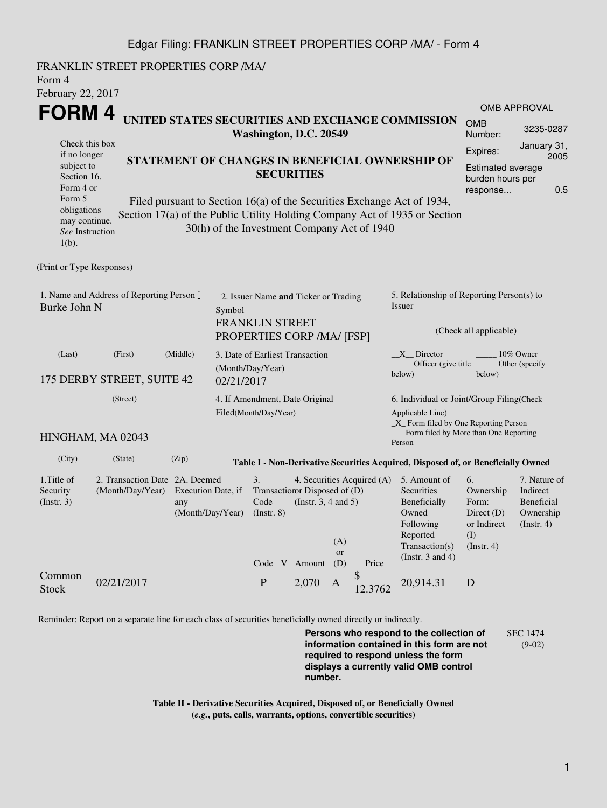## Edgar Filing: FRANKLIN STREET PROPERTIES CORP /MA/ - Form 4

FRANKLIN STREET PROPERTIES CORP /MA/ Form 4 February 22, 2017 **FORM 4** Check this box if no longer subject to Section 16. Form 4 or Form 5 obligations may continue. *See* Instruction 1(b). **UNITED STATES SECURITIES AND EXCHANGE COMMISSION Washington, D.C. 20549 STATEMENT OF CHANGES IN BENEFICIAL OWNERSHIP OF SECURITIES** Filed pursuant to Section 16(a) of the Securities Exchange Act of 1934, Section 17(a) of the Public Utility Holding Company Act of 1935 or Section 30(h) of the Investment Company Act of 1940 OMB APPROVAL OMB Number: 3235-0287 Expires: January 31, 2005 Estimated average burden hours per response... 0.5 (Print or Type Responses) 1. Name and Address of Reporting Person  $\degree$ Burke John N 2. Issuer Name **and** Ticker or Trading Symbol FRANKLIN STREET PROPERTIES CORP /MA/ [FSP] 5. Relationship of Reporting Person(s) to Issuer (Check all applicable) \_X\_\_ Director \_\_\_\_\_\_\_\_ 10% Owner Officer (give title below) Other (specify below) (Last) (First) (Middle) 175 DERBY STREET, SUITE 42 3. Date of Earliest Transaction (Month/Day/Year) 02/21/2017 (Street) HINGHAM, MA 02043 4. If Amendment, Date Original Filed(Month/Day/Year) 6. Individual or Joint/Group Filing(Check Applicable Line) \_X\_ Form filed by One Reporting Person Form filed by More than One Reporting Person (City) (State) (Zip) **Table I - Non-Derivative Securities Acquired, Disposed of, or Beneficially Owned** 1.Title of Security (Instr. 3) 2. Transaction Date 2A. Deemed (Month/Day/Year) Execution Date, if any (Month/Day/Year) 3. Transaction Disposed of (D) Code (Instr. 8) 4. Securities Acquired (A) (Instr. 3, 4 and 5) 5. Amount of **Securities** Beneficially Owned Following Reported Transaction(s) (Instr. 3 and 4) 6. Ownership Form: Direct (D) or Indirect (I) (Instr. 4) 7. Nature of Indirect Beneficial Ownership (Instr. 4) Code V Amount (A) or (D) Price Common Stock 02/21/2017 P 2,070 A \$  $\int_{12,3762}^{9} 20,914.31$  D

Reminder: Report on a separate line for each class of securities beneficially owned directly or indirectly.

**Persons who respond to the collection of information contained in this form are not required to respond unless the form displays a currently valid OMB control number.** SEC 1474 (9-02)

**Table II - Derivative Securities Acquired, Disposed of, or Beneficially Owned (***e.g.***, puts, calls, warrants, options, convertible securities)**